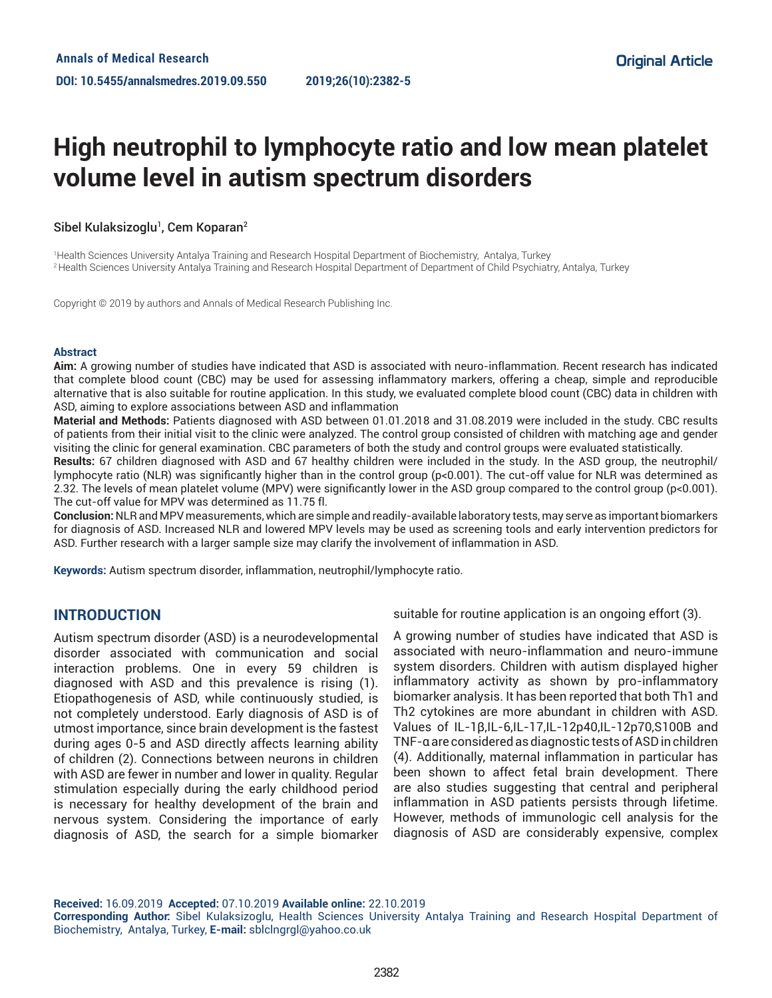# **High neutrophil to lymphocyte ratio and low mean platelet volume level in autism spectrum disorders**

#### Sibel Kulaksizoglu<sup>1</sup>, Cem Koparan<sup>2</sup>

1 Health Sciences University Antalya Training and Research Hospital Department of Biochemistry, Antalya, Turkey 2 Health Sciences University Antalya Training and Research Hospital Department of Department of Child Psychiatry, Antalya, Turkey

Copyright © 2019 by authors and Annals of Medical Research Publishing Inc.

#### **Abstract**

**Aim:** A growing number of studies have indicated that ASD is associated with neuro-inflammation. Recent research has indicated that complete blood count (CBC) may be used for assessing inflammatory markers, offering a cheap, simple and reproducible alternative that is also suitable for routine application. In this study, we evaluated complete blood count (CBC) data in children with ASD, aiming to explore associations between ASD and inflammation

**Material and Methods:** Patients diagnosed with ASD between 01.01.2018 and 31.08.2019 were included in the study. CBC results of patients from their initial visit to the clinic were analyzed. The control group consisted of children with matching age and gender visiting the clinic for general examination. CBC parameters of both the study and control groups were evaluated statistically.

**Results:** 67 children diagnosed with ASD and 67 healthy children were included in the study. In the ASD group, the neutrophil/ lymphocyte ratio (NLR) was significantly higher than in the control group (p<0.001). The cut-off value for NLR was determined as 2.32. The levels of mean platelet volume (MPV) were significantly lower in the ASD group compared to the control group (p<0.001). The cut-off value for MPV was determined as 11.75 fl.

**Conclusion:** NLR and MPV measurements, which are simple and readily-available laboratory tests, may serve as important biomarkers for diagnosis of ASD. Increased NLR and lowered MPV levels may be used as screening tools and early intervention predictors for ASD. Further research with a larger sample size may clarify the involvement of inflammation in ASD.

**Keywords:** Autism spectrum disorder, inflammation, neutrophil/lymphocyte ratio.

### **INTRODUCTION**

Autism spectrum disorder (ASD) is a neurodevelopmental disorder associated with communication and social interaction problems. One in every 59 children is diagnosed with ASD and this prevalence is rising (1). Etiopathogenesis of ASD, while continuously studied, is not completely understood. Early diagnosis of ASD is of utmost importance, since brain development is the fastest during ages 0-5 and ASD directly affects learning ability of children (2). Connections between neurons in children with ASD are fewer in number and lower in quality. Regular stimulation especially during the early childhood period is necessary for healthy development of the brain and nervous system. Considering the importance of early diagnosis of ASD, the search for a simple biomarker

suitable for routine application is an ongoing effort (3).

A growing number of studies have indicated that ASD is associated with neuro-inflammation and neuro-immune system disorders. Children with autism displayed higher inflammatory activity as shown by pro-inflammatory biomarker analysis. It has been reported that both Th1 and Th2 cytokines are more abundant in children with ASD. Values of IL-1β,IL-6,IL-17,IL-12p40,IL-12p70,S100B and TNF-α are considered as diagnostic tests of ASD in children (4). Additionally, maternal inflammation in particular has been shown to affect fetal brain development. There are also studies suggesting that central and peripheral inflammation in ASD patients persists through lifetime. However, methods of immunologic cell analysis for the diagnosis of ASD are considerably expensive, complex

**Received:** 16.09.2019 **Accepted:** 07.10.2019 **Available online:** 22.10.2019

**Corresponding Author:** Sibel Kulaksizoglu, Health Sciences University Antalya Training and Research Hospital Department of Biochemistry, Antalya, Turkey, **E-mail:** sblclngrgl@yahoo.co.uk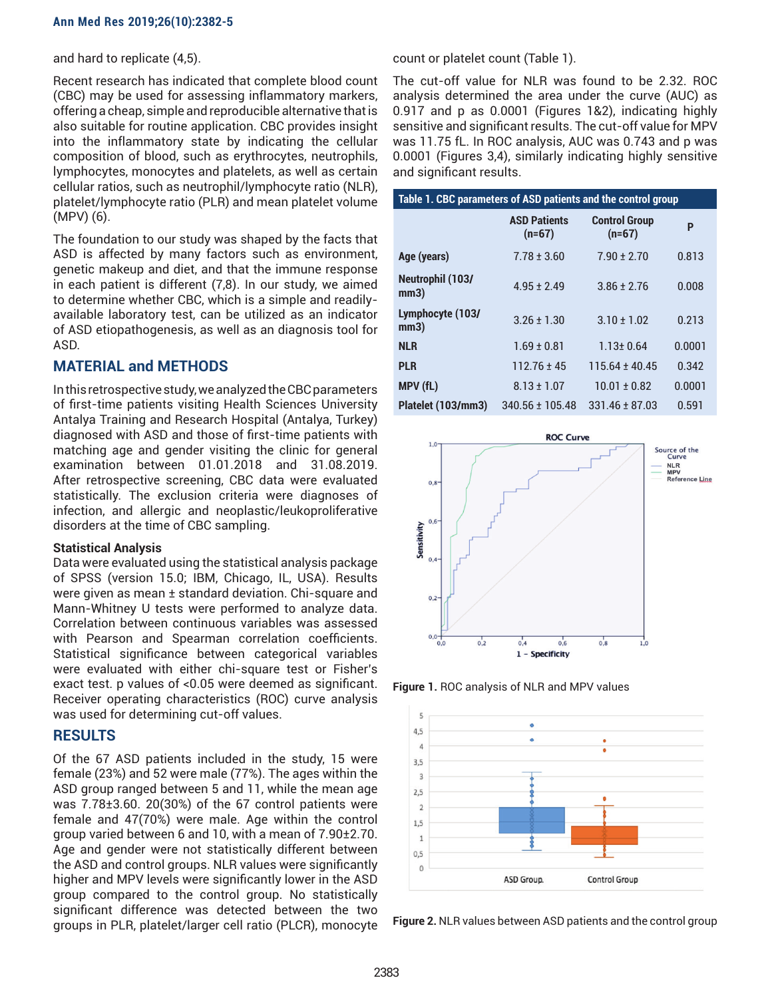and hard to replicate (4,5).

Recent research has indicated that complete blood count (CBC) may be used for assessing inflammatory markers, offering a cheap, simple and reproducible alternative that is also suitable for routine application. CBC provides insight into the inflammatory state by indicating the cellular composition of blood, such as erythrocytes, neutrophils, lymphocytes, monocytes and platelets, as well as certain cellular ratios, such as neutrophil/lymphocyte ratio (NLR), platelet/lymphocyte ratio (PLR) and mean platelet volume (MPV) (6).

The foundation to our study was shaped by the facts that ASD is affected by many factors such as environment, genetic makeup and diet, and that the immune response in each patient is different (7,8). In our study, we aimed to determine whether CBC, which is a simple and readilyavailable laboratory test, can be utilized as an indicator of ASD etiopathogenesis, as well as an diagnosis tool for ASD.

# **MATERIAL and METHODS**

In this retrospective study, we analyzed the CBC parameters of first-time patients visiting Health Sciences University Antalya Training and Research Hospital (Antalya, Turkey) diagnosed with ASD and those of first-time patients with matching age and gender visiting the clinic for general examination between 01.01.2018 and 31.08.2019. After retrospective screening, CBC data were evaluated statistically. The exclusion criteria were diagnoses of infection, and allergic and neoplastic/leukoproliferative disorders at the time of CBC sampling.

#### **Statistical Analysis**

Data were evaluated using the statistical analysis package of SPSS (version 15.0; IBM, Chicago, IL, USA). Results were given as mean ± standard deviation. Chi-square and Mann-Whitney U tests were performed to analyze data. Correlation between continuous variables was assessed with Pearson and Spearman correlation coefficients. Statistical significance between categorical variables were evaluated with either chi-square test or Fisher's exact test. p values of <0.05 were deemed as significant. Receiver operating characteristics (ROC) curve analysis was used for determining cut-off values.

### **RESULTS**

Of the 67 ASD patients included in the study, 15 were female (23%) and 52 were male (77%). The ages within the ASD group ranged between 5 and 11, while the mean age was 7.78±3.60. 20(30%) of the 67 control patients were female and 47(70%) were male. Age within the control group varied between 6 and 10, with a mean of 7.90±2.70. Age and gender were not statistically different between the ASD and control groups. NLR values were significantly higher and MPV levels were significantly lower in the ASD group compared to the control group. No statistically significant difference was detected between the two groups in PLR, platelet/larger cell ratio (PLCR), monocyte

count or platelet count (Table 1).

The cut-off value for NLR was found to be 2.32. ROC analysis determined the area under the curve (AUC) as 0.917 and p as 0.0001 (Figures 1&2), indicating highly sensitive and significant results. The cut-off value for MPV was 11.75 fL. In ROC analysis, AUC was 0.743 and p was 0.0001 (Figures 3,4), similarly indicating highly sensitive and significant results.

| Table 1. CBC parameters of ASD patients and the control group |                                 |                                  |        |
|---------------------------------------------------------------|---------------------------------|----------------------------------|--------|
|                                                               | <b>ASD Patients</b><br>$(n=67)$ | <b>Control Group</b><br>$(n=67)$ | P      |
| Age (years)                                                   | $7.78 \pm 3.60$                 | $7.90 + 2.70$                    | 0.813  |
| Neutrophil (103/<br>mm3)                                      | $4.95 + 2.49$                   | $3.86 + 2.76$                    | 0.008  |
| Lymphocyte (103/<br>mm3)                                      | $3.26 + 1.30$                   | $3.10 + 1.02$                    | 0.213  |
| <b>NLR</b>                                                    | $1.69 \pm 0.81$                 | $1.13 \pm 0.64$                  | 0.0001 |
| <b>PLR</b>                                                    | $112.76 + 45$                   | $115.64 + 40.45$                 | 0.342  |
| <b>MPV (fL)</b>                                               | $8.13 + 1.07$                   | $10.01 + 0.82$                   | 0.0001 |
| Platelet (103/mm3)                                            | 340.56 ± 105.48                 | $331.46 + 87.03$                 | 0.591  |



**Figure 1.** ROC analysis of NLR and MPV values



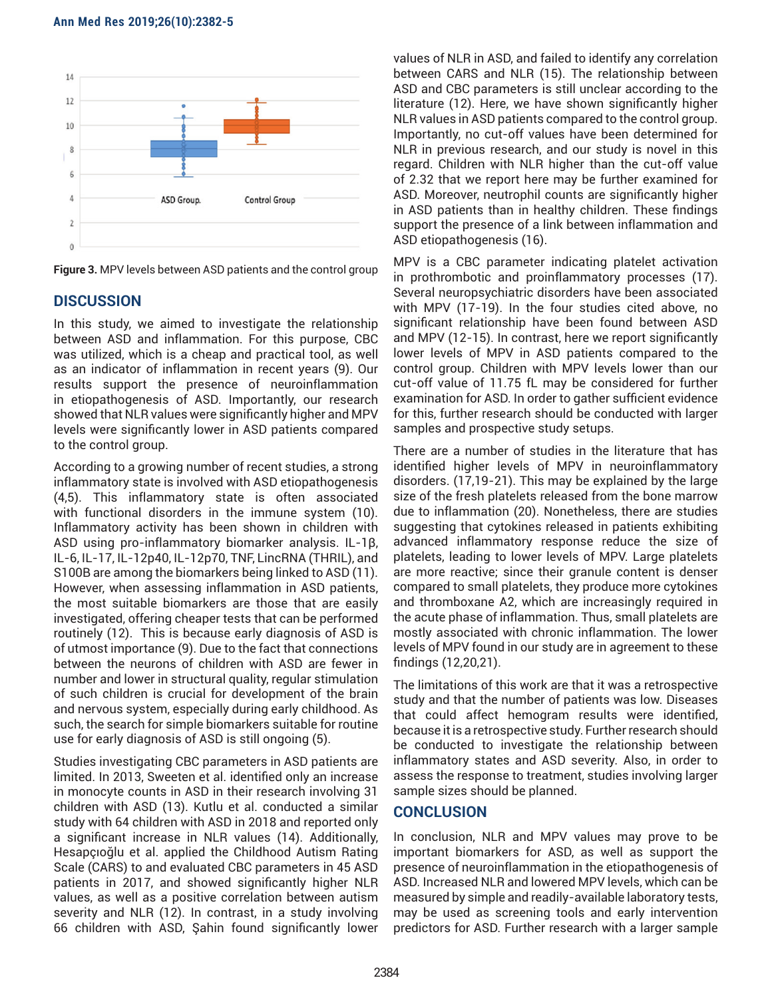

**Figure 3.** MPV levels between ASD patients and the control group

# **DISCUSSION**

In this study, we aimed to investigate the relationship between ASD and inflammation. For this purpose, CBC was utilized, which is a cheap and practical tool, as well as an indicator of inflammation in recent years (9). Our results support the presence of neuroinflammation in etiopathogenesis of ASD. Importantly, our research showed that NLR values were significantly higher and MPV levels were significantly lower in ASD patients compared to the control group.

According to a growing number of recent studies, a strong inflammatory state is involved with ASD etiopathogenesis (4,5). This inflammatory state is often associated with functional disorders in the immune system (10). Inflammatory activity has been shown in children with ASD using pro-inflammatory biomarker analysis. IL-1β, IL-6, IL-17, IL-12p40, IL-12p70, TNF, LincRNA (THRIL), and S100B are among the biomarkers being linked to ASD (11). However, when assessing inflammation in ASD patients, the most suitable biomarkers are those that are easily investigated, offering cheaper tests that can be performed routinely (12). This is because early diagnosis of ASD is of utmost importance (9). Due to the fact that connections between the neurons of children with ASD are fewer in number and lower in structural quality, regular stimulation of such children is crucial for development of the brain and nervous system, especially during early childhood. As such, the search for simple biomarkers suitable for routine use for early diagnosis of ASD is still ongoing (5).

Studies investigating CBC parameters in ASD patients are limited. In 2013, Sweeten et al. identified only an increase in monocyte counts in ASD in their research involving 31 children with ASD (13). Kutlu et al. conducted a similar study with 64 children with ASD in 2018 and reported only a significant increase in NLR values (14). Additionally, Hesapçıoğlu et al. applied the Childhood Autism Rating Scale (CARS) to and evaluated CBC parameters in 45 ASD patients in 2017, and showed significantly higher NLR values, as well as a positive correlation between autism severity and NLR (12). In contrast, in a study involving 66 children with ASD, Şahin found significantly lower

values of NLR in ASD, and failed to identify any correlation between CARS and NLR (15). The relationship between ASD and CBC parameters is still unclear according to the literature (12). Here, we have shown significantly higher NLR values in ASD patients compared to the control group. Importantly, no cut-off values have been determined for NLR in previous research, and our study is novel in this regard. Children with NLR higher than the cut-off value of 2.32 that we report here may be further examined for ASD. Moreover, neutrophil counts are significantly higher in ASD patients than in healthy children. These findings support the presence of a link between inflammation and ASD etiopathogenesis (16).

MPV is a CBC parameter indicating platelet activation in prothrombotic and proinflammatory processes (17). Several neuropsychiatric disorders have been associated with MPV (17-19). In the four studies cited above, no significant relationship have been found between ASD and MPV (12-15). In contrast, here we report significantly lower levels of MPV in ASD patients compared to the control group. Children with MPV levels lower than our cut-off value of 11.75 fL may be considered for further examination for ASD. In order to gather sufficient evidence for this, further research should be conducted with larger samples and prospective study setups.

There are a number of studies in the literature that has identified higher levels of MPV in neuroinflammatory disorders. (17,19-21). This may be explained by the large size of the fresh platelets released from the bone marrow due to inflammation (20). Nonetheless, there are studies suggesting that cytokines released in patients exhibiting advanced inflammatory response reduce the size of platelets, leading to lower levels of MPV. Large platelets are more reactive; since their granule content is denser compared to small platelets, they produce more cytokines and thromboxane A2, which are increasingly required in the acute phase of inflammation. Thus, small platelets are mostly associated with chronic inflammation. The lower levels of MPV found in our study are in agreement to these findings (12,20,21).

The limitations of this work are that it was a retrospective study and that the number of patients was low. Diseases that could affect hemogram results were identified, because it is a retrospective study. Further research should be conducted to investigate the relationship between inflammatory states and ASD severity. Also, in order to assess the response to treatment, studies involving larger sample sizes should be planned.

### **CONCLUSION**

In conclusion, NLR and MPV values may prove to be important biomarkers for ASD, as well as support the presence of neuroinflammation in the etiopathogenesis of ASD. Increased NLR and lowered MPV levels, which can be measured by simple and readily-available laboratory tests, may be used as screening tools and early intervention predictors for ASD. Further research with a larger sample